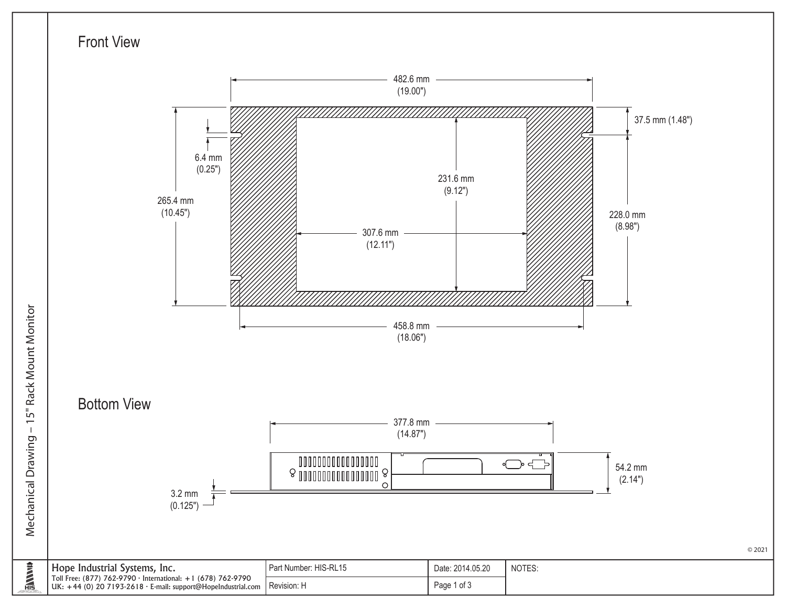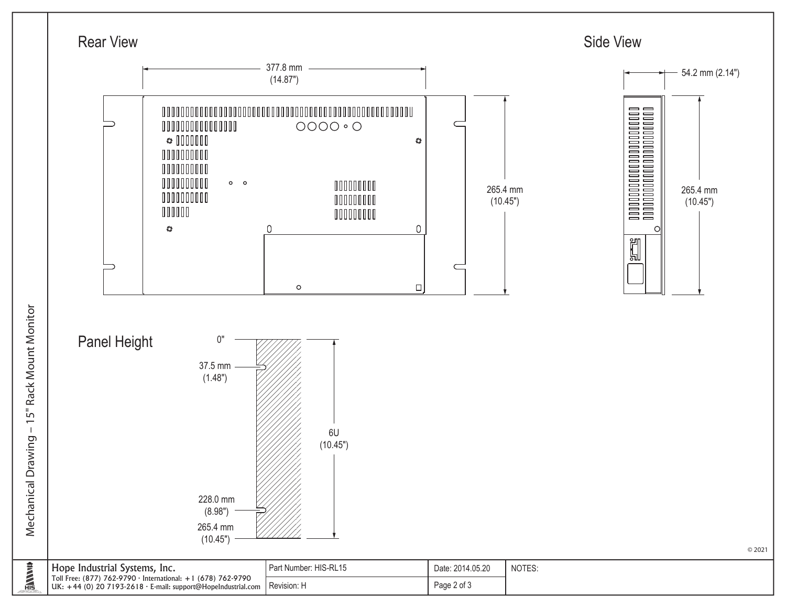